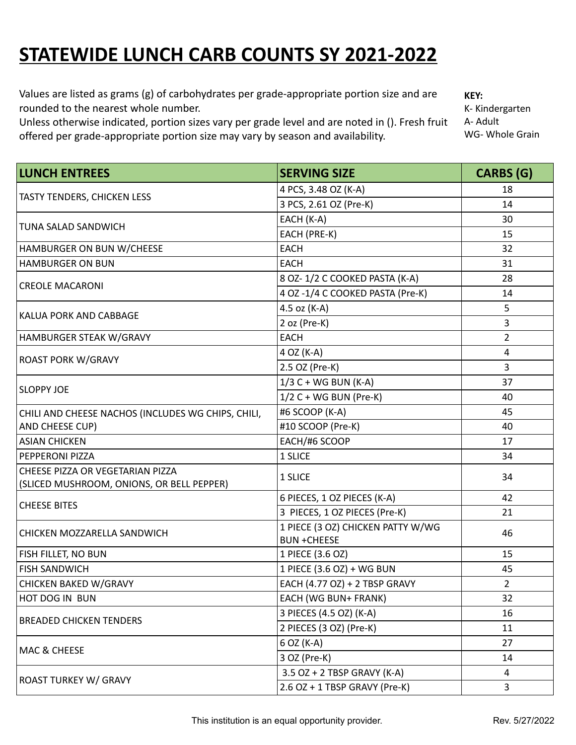## **STATEWIDE LUNCH CARB COUNTS SY 2021-2022**

Values are listed as grams (g) of carbohydrates per grade-appropriate portion size and are rounded to the nearest whole number.

Unless otherwise indicated, portion sizes vary per grade level and are noted in (). Fresh fruit offered per grade-appropriate portion size may vary by season and availability.

**KEY:** K- Kindergarten A- Adult WG- Whole Grain

| <b>LUNCH ENTREES</b>                                                          | <b>SERVING SIZE</b>                                     | <b>CARBS (G)</b> |
|-------------------------------------------------------------------------------|---------------------------------------------------------|------------------|
| <b>TASTY TENDERS, CHICKEN LESS</b>                                            | 4 PCS, 3.48 OZ (K-A)                                    | 18               |
|                                                                               | 3 PCS, 2.61 OZ (Pre-K)                                  | 14               |
| TUNA SALAD SANDWICH                                                           | EACH (K-A)                                              | 30               |
|                                                                               | EACH (PRE-K)                                            | 15               |
| HAMBURGER ON BUN W/CHEESE                                                     | <b>EACH</b>                                             | 32               |
| <b>HAMBURGER ON BUN</b>                                                       | <b>EACH</b>                                             | 31               |
|                                                                               | 8 OZ-1/2 C COOKED PASTA (K-A)                           | 28               |
| <b>CREOLE MACARONI</b>                                                        | 4 OZ -1/4 C COOKED PASTA (Pre-K)                        | 14               |
|                                                                               | 4.5 oz (K-A)                                            | 5                |
| KALUA PORK AND CABBAGE                                                        | 2 oz (Pre-K)                                            | 3                |
| HAMBURGER STEAK W/GRAVY                                                       | <b>EACH</b>                                             | $\overline{2}$   |
|                                                                               | 4 OZ (K-A)                                              | 4                |
| <b>ROAST PORK W/GRAVY</b>                                                     | 2.5 OZ (Pre-K)                                          | 3                |
| <b>SLOPPY JOE</b>                                                             | $1/3$ C + WG BUN (K-A)                                  | 37               |
|                                                                               | $1/2$ C + WG BUN (Pre-K)                                | 40               |
| CHILI AND CHEESE NACHOS (INCLUDES WG CHIPS, CHILI,                            | #6 SCOOP (K-A)                                          | 45               |
| AND CHEESE CUP)                                                               | #10 SCOOP (Pre-K)                                       | 40               |
| <b>ASIAN CHICKEN</b>                                                          | EACH/#6 SCOOP                                           | 17               |
| PEPPERONI PIZZA                                                               | 1 SLICE                                                 | 34               |
| CHEESE PIZZA OR VEGETARIAN PIZZA<br>(SLICED MUSHROOM, ONIONS, OR BELL PEPPER) | 1 SLICE                                                 | 34               |
|                                                                               | 6 PIECES, 1 OZ PIECES (K-A)                             | 42               |
| <b>CHEESE BITES</b>                                                           | 3 PIECES, 1 OZ PIECES (Pre-K)                           | 21               |
| CHICKEN MOZZARELLA SANDWICH                                                   | 1 PIECE (3 OZ) CHICKEN PATTY W/WG<br><b>BUN +CHEESE</b> | 46               |
| <b>FISH FILLET, NO BUN</b>                                                    | 1 PIECE (3.6 OZ)                                        | 15               |
| <b>FISH SANDWICH</b>                                                          | 1 PIECE (3.6 OZ) + WG BUN                               | 45               |
| CHICKEN BAKED W/GRAVY                                                         | EACH (4.77 OZ) + 2 TBSP GRAVY                           | $\overline{2}$   |
| HOT DOG IN BUN                                                                | EACH (WG BUN+ FRANK)                                    | 32               |
|                                                                               | 3 PIECES (4.5 OZ) (K-A)                                 | 16               |
| <b>BREADED CHICKEN TENDERS</b>                                                | 2 PIECES (3 OZ) (Pre-K)                                 | 11               |
|                                                                               | 6 OZ (K-A)                                              | 27               |
| MAC & CHEESE                                                                  | 3 OZ (Pre-K)                                            | 14               |
|                                                                               | 3.5 OZ + 2 TBSP GRAVY (K-A)                             | 4                |
| <b>ROAST TURKEY W/ GRAVY</b>                                                  | 2.6 OZ + 1 TBSP GRAVY (Pre-K)                           | 3                |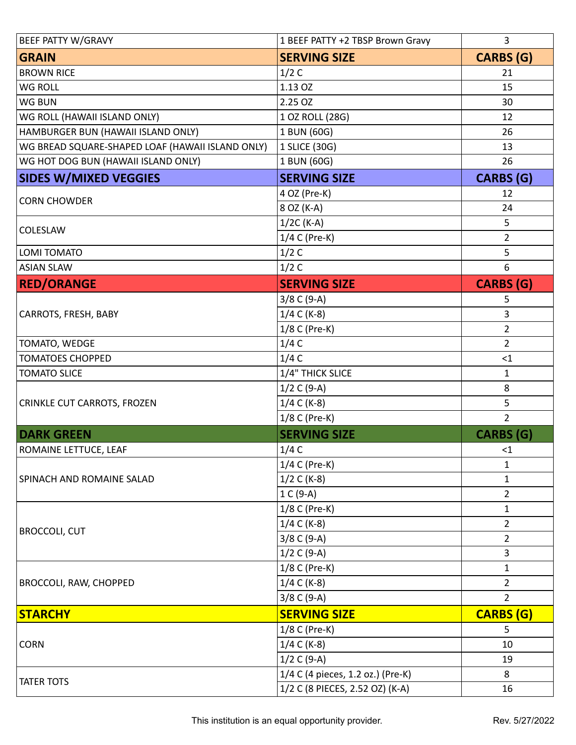| <b>BEEF PATTY W/GRAVY</b>                        | 1 BEEF PATTY +2 TBSP Brown Gravy  | 3                |
|--------------------------------------------------|-----------------------------------|------------------|
| <b>GRAIN</b>                                     | <b>SERVING SIZE</b>               | <b>CARBS (G)</b> |
| <b>BROWN RICE</b>                                | 1/2C                              | 21               |
| <b>WG ROLL</b>                                   | 1.13 OZ                           | 15               |
| <b>WG BUN</b>                                    | 2.25 OZ                           | 30               |
| WG ROLL (HAWAII ISLAND ONLY)                     | 1 OZ ROLL (28G)                   | 12               |
| HAMBURGER BUN (HAWAII ISLAND ONLY)               | 1 BUN (60G)                       | 26               |
| WG BREAD SQUARE-SHAPED LOAF (HAWAII ISLAND ONLY) | 1 SLICE (30G)                     | 13               |
| WG HOT DOG BUN (HAWAII ISLAND ONLY)              | 1 BUN (60G)                       | 26               |
| <b>SIDES W/MIXED VEGGIES</b>                     | <b>SERVING SIZE</b>               | <b>CARBS (G)</b> |
|                                                  | 4 OZ (Pre-K)                      | 12               |
| <b>CORN CHOWDER</b>                              | 8 OZ (K-A)                        | 24               |
|                                                  | $1/2C$ (K-A)                      | 5                |
| COLESLAW                                         | 1/4 C (Pre-K)                     | $\overline{2}$   |
| <b>LOMI TOMATO</b>                               | 1/2C                              | 5                |
| <b>ASIAN SLAW</b>                                | 1/2C                              | $6\,$            |
| <b>RED/ORANGE</b>                                | <b>SERVING SIZE</b>               | <b>CARBS (G)</b> |
|                                                  | $3/8$ C (9-A)                     | 5                |
| CARROTS, FRESH, BABY                             | $1/4 C$ (K-8)                     | 3                |
|                                                  | 1/8 C (Pre-K)                     | $\overline{2}$   |
| TOMATO, WEDGE                                    | 1/4C                              | $\overline{2}$   |
| <b>TOMATOES CHOPPED</b>                          | 1/4C                              | $\leq$ 1         |
| <b>TOMATO SLICE</b>                              | 1/4" THICK SLICE                  | 1                |
|                                                  | $1/2 C (9-A)$                     | $\,8\,$          |
| CRINKLE CUT CARROTS, FROZEN                      | $1/4 C (K-8)$                     | 5                |
|                                                  | 1/8 C (Pre-K)                     | $\overline{2}$   |
| <b>DARK GREEN</b>                                | <b>SERVING SIZE</b>               | <b>CARBS (G)</b> |
| ROMAINE LETTUCE, LEAF                            | 1/4C                              | $<$ 1            |
| SPINACH AND ROMAINE SALAD                        | 1/4 C (Pre-K)                     | 1                |
|                                                  | 1/2 C (K-8)                       | 1                |
|                                                  | 1 C (9-A)                         | $\overline{2}$   |
|                                                  | 1/8 C (Pre-K)                     | $\mathbf 1$      |
|                                                  | $1/4 C (K-8)$                     | $\overline{2}$   |
| <b>BROCCOLI, CUT</b>                             | $3/8$ C (9-A)                     | $\overline{2}$   |
|                                                  | $1/2 C (9-A)$                     | 3                |
|                                                  | 1/8 C (Pre-K)                     | $\mathbf 1$      |
| <b>BROCCOLI, RAW, CHOPPED</b>                    | $1/4 C$ (K-8)                     | $\overline{2}$   |
|                                                  | $3/8$ C (9-A)                     | $\overline{2}$   |
| <b>STARCHY</b>                                   | <b>SERVING SIZE</b>               | <b>CARBS (G)</b> |
|                                                  | 1/8 C (Pre-K)                     | 5                |
| <b>CORN</b>                                      | $1/4 C$ (K-8)                     | 10               |
|                                                  | $1/2 C (9-A)$                     | 19               |
| <b>TATER TOTS</b>                                | 1/4 C (4 pieces, 1.2 oz.) (Pre-K) | 8                |
|                                                  | 1/2 C (8 PIECES, 2.52 OZ) (K-A)   | 16               |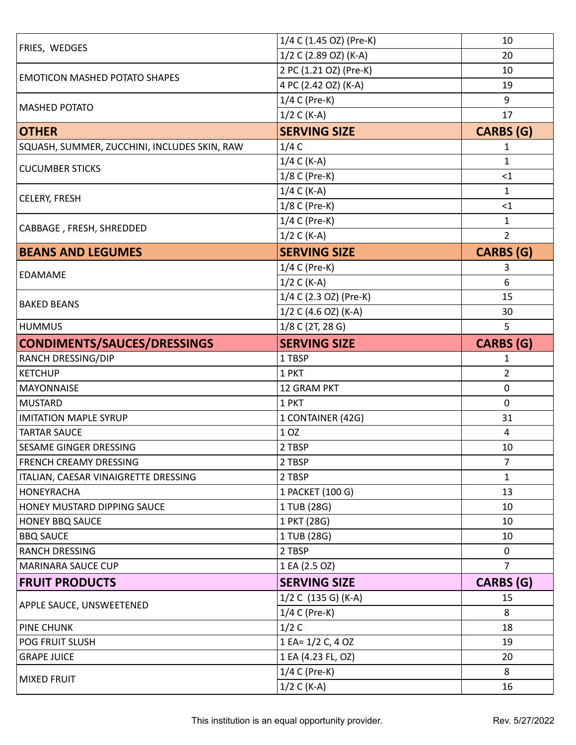| <b>FRIES, WEDGES</b>                         | 1/4 C (1.45 OZ) (Pre-K)        | 10               |
|----------------------------------------------|--------------------------------|------------------|
|                                              | 1/2 C (2.89 OZ) (K-A)          | 20               |
| <b>EMOTICON MASHED POTATO SHAPES</b>         | 2 PC (1.21 OZ) (Pre-K)         | 10               |
|                                              | 4 PC (2.42 OZ) (K-A)           | 19               |
| <b>MASHED POTATO</b>                         | 1/4 C (Pre-K)                  | 9                |
|                                              | $1/2 C (K-A)$                  | 17               |
| <b>OTHER</b>                                 | <b>SERVING SIZE</b>            | CARBS (G)        |
| SQUASH, SUMMER, ZUCCHINI, INCLUDES SKIN, RAW | 1/4C                           | 1                |
| <b>CUCUMBER STICKS</b>                       | $1/4 C$ (K-A)                  | 1                |
|                                              | 1/8 C (Pre-K)                  | <1               |
|                                              | $1/4 C (K-A)$                  | $\mathbf 1$      |
| CELERY, FRESH                                | 1/8 C (Pre-K)                  | $<$ 1            |
| CABBAGE, FRESH, SHREDDED                     | 1/4 C (Pre-K)                  | 1                |
|                                              | $1/2 C (K-A)$                  | $\overline{2}$   |
| <b>BEANS AND LEGUMES</b>                     | <b>SERVING SIZE</b>            | <b>CARBS (G)</b> |
|                                              | 1/4 C (Pre-K)                  | 3                |
| <b>EDAMAME</b>                               | $1/2 C (K-A)$                  | 6                |
|                                              | 1/4 C (2.3 OZ) (Pre-K)         | 15               |
| <b>BAKED BEANS</b>                           | 1/2 C (4.6 OZ) (K-A)           | 30               |
| <b>HUMMUS</b>                                | 1/8 C (2T, 28 G)               | 5                |
| CONDIMENTS/SAUCES/DRESSINGS                  | <b>SERVING SIZE</b>            | <b>CARBS</b> (G) |
| <b>RANCH DRESSING/DIP</b>                    | 1 TBSP                         | 1                |
| <b>KETCHUP</b>                               | 1 PKT                          | $\overline{2}$   |
|                                              |                                |                  |
| <b>MAYONNAISE</b>                            | 12 GRAM PKT                    | $\mathbf 0$      |
| <b>MUSTARD</b>                               | 1 PKT                          | $\mathbf 0$      |
| <b>IMITATION MAPLE SYRUP</b>                 | 1 CONTAINER (42G)              | 31               |
| <b>TARTAR SAUCE</b>                          | 1 OZ                           | 4                |
| <b>SESAME GINGER DRESSING</b>                | 2 TBSP                         | 10               |
| <b>FRENCH CREAMY DRESSING</b>                | 2 TBSP                         | $\overline{7}$   |
| ITALIAN, CAESAR VINAIGRETTE DRESSING         | 2 TBSP                         | 1                |
| HONEYRACHA                                   | 1 PACKET (100 G)               | 13               |
| HONEY MUSTARD DIPPING SAUCE                  | 1 TUB (28G)                    | 10               |
| <b>HONEY BBQ SAUCE</b>                       | 1 PKT (28G)                    | 10               |
| <b>BBQ SAUCE</b>                             | 1 TUB (28G)                    | 10               |
| <b>RANCH DRESSING</b>                        | 2 TBSP                         | $\mathbf{0}$     |
| MARINARA SAUCE CUP                           | 1 EA (2.5 OZ)                  | $\overline{7}$   |
| <b>FRUIT PRODUCTS</b>                        | <b>SERVING SIZE</b>            | <b>CARBS (G)</b> |
|                                              | 1/2 C (135 G) (K-A)            | 15               |
| <b>APPLE SAUCE, UNSWEETENED</b>              | 1/4 C (Pre-K)                  | 8                |
| <b>PINE CHUNK</b>                            | 1/2C                           | 18               |
| <b>POG FRUIT SLUSH</b>                       | 1 EA= 1/2 C, 4 OZ              | 19               |
| <b>GRAPE JUICE</b>                           | 1 EA (4.23 FL, OZ)             | 20               |
| <b>MIXED FRUIT</b>                           | 1/4 C (Pre-K)<br>$1/2 C (K-A)$ | 8                |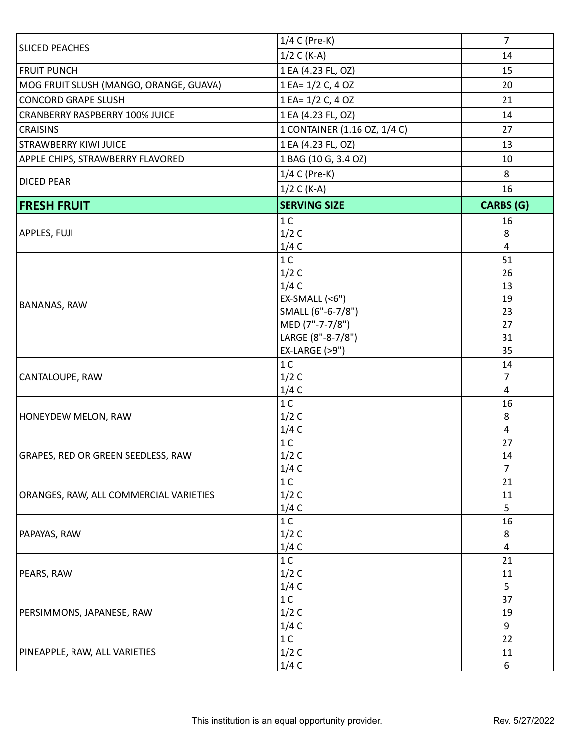| <b>SLICED PEACHES</b>                  | 1/4 C (Pre-K)                | $\overline{7}$   |
|----------------------------------------|------------------------------|------------------|
|                                        | $1/2 C (K-A)$                | 14               |
| <b>FRUIT PUNCH</b>                     | 1 EA (4.23 FL, OZ)           | 15               |
| MOG FRUIT SLUSH (MANGO, ORANGE, GUAVA) | 1 EA= 1/2 C, 4 OZ            | 20               |
| <b>CONCORD GRAPE SLUSH</b>             | 1 EA= 1/2 C, 4 OZ            | 21               |
| <b>CRANBERRY RASPBERRY 100% JUICE</b>  | 1 EA (4.23 FL, OZ)           | 14               |
| <b>CRAISINS</b>                        | 1 CONTAINER (1.16 OZ, 1/4 C) | 27               |
| <b>STRAWBERRY KIWI JUICE</b>           | 1 EA (4.23 FL, OZ)           | 13               |
| APPLE CHIPS, STRAWBERRY FLAVORED       | 1 BAG (10 G, 3.4 OZ)         | 10               |
| <b>DICED PEAR</b>                      | 1/4 C (Pre-K)                | 8                |
|                                        | $1/2 C (K-A)$                | 16               |
| <b>FRESH FRUIT</b>                     | <b>SERVING SIZE</b>          | <b>CARBS (G)</b> |
|                                        | 1 <sup>C</sup>               | 16               |
| APPLES, FUJI                           | 1/2C                         | 8                |
|                                        | 1/4C                         | 4                |
|                                        | 1 <sup>C</sup>               | 51               |
|                                        | 1/2C                         | 26               |
|                                        | 1/4C                         | 13               |
| <b>BANANAS, RAW</b>                    | $EX-SMALL$ (<6")             | 19               |
|                                        | SMALL (6"-6-7/8")            | 23               |
|                                        | MED (7"-7-7/8")              | 27               |
|                                        | LARGE (8"-8-7/8")            | 31               |
|                                        | EX-LARGE (>9")               | 35               |
|                                        | 1 <sup>C</sup>               | 14               |
| CANTALOUPE, RAW                        | 1/2C                         | 7                |
|                                        | 1/4C                         | 4                |
|                                        | 1 <sup>C</sup>               | 16               |
| HONEYDEW MELON, RAW                    | 1/2C                         | 8                |
|                                        | 1/4C                         | 4                |
|                                        | 1 <sup>C</sup>               | 27               |
| GRAPES, RED OR GREEN SEEDLESS, RAW     | 1/2C                         | 14               |
|                                        | 1/4C                         | 7                |
| ORANGES, RAW, ALL COMMERCIAL VARIETIES | 1 <sup>C</sup>               | 21               |
|                                        | 1/2C                         | 11               |
|                                        | 1/4C                         | 5                |
| PAPAYAS, RAW                           | 1 <sup>C</sup>               | 16               |
|                                        | 1/2C                         | 8                |
|                                        | 1/4C                         | 4                |
|                                        | 1 <sup>C</sup>               | 21               |
| PEARS, RAW                             | 1/2C                         | 11               |
|                                        | 1/4C                         | 5                |
|                                        | 1 <sup>C</sup>               | 37               |
| PERSIMMONS, JAPANESE, RAW              | 1/2C                         | 19               |
|                                        | 1/4C                         | 9                |
|                                        | 1 <sup>C</sup>               | 22               |
| PINEAPPLE, RAW, ALL VARIETIES          | 1/2C                         | 11               |
|                                        | 1/4C                         | 6                |